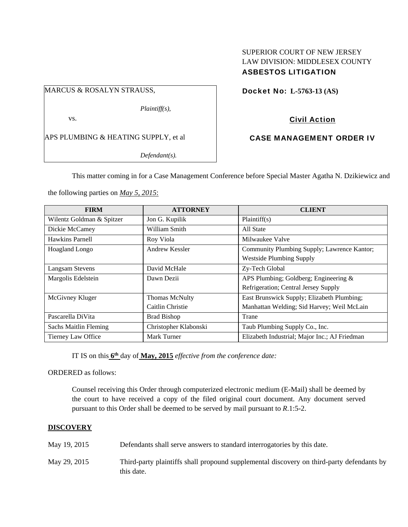## SUPERIOR COURT OF NEW JERSEY LAW DIVISION: MIDDLESEX COUNTY ASBESTOS LITIGATION

## MARCUS & ROSALYN STRAUSS,

*Plaintiff(s),* 

vs.

APS PLUMBING & HEATING SUPPLY, et al

*Defendant(s).* 

# Docket No: **L-5763-13 (AS)**

## Civil Action

## CASE MANAGEMENT ORDER IV

This matter coming in for a Case Management Conference before Special Master Agatha N. Dzikiewicz and

the following parties on *May 5, 2015*:

| <b>FIRM</b>                  | <b>ATTORNEY</b>       | <b>CLIENT</b>                                 |
|------------------------------|-----------------------|-----------------------------------------------|
| Wilentz Goldman & Spitzer    | Jon G. Kupilik        | Plaintiff(s)                                  |
| Dickie McCamey               | William Smith         | All State                                     |
| Hawkins Parnell              | Roy Viola             | Milwaukee Valve                               |
| Hoagland Longo               | Andrew Kessler        | Community Plumbing Supply; Lawrence Kantor;   |
|                              |                       | <b>Westside Plumbing Supply</b>               |
| <b>Langsam Stevens</b>       | David McHale          | Zy-Tech Global                                |
| Margolis Edelstein           | Dawn Dezii            | APS Plumbing; Goldberg; Engineering $\&$      |
|                              |                       | Refrigeration; Central Jersey Supply          |
| McGivney Kluger              | Thomas McNulty        | East Brunswick Supply; Elizabeth Plumbing;    |
|                              | Caitlin Christie      | Manhattan Welding; Sid Harvey; Weil McLain    |
| Pascarella DiVita            | <b>Brad Bishop</b>    | Trane                                         |
| <b>Sachs Maitlin Fleming</b> | Christopher Klabonski | Taub Plumbing Supply Co., Inc.                |
| Tierney Law Office           | Mark Turner           | Elizabeth Industrial; Major Inc.; AJ Friedman |

IT IS on this **6th** day of **May, 2015** *effective from the conference date:* 

ORDERED as follows:

Counsel receiving this Order through computerized electronic medium (E-Mail) shall be deemed by the court to have received a copy of the filed original court document. Any document served pursuant to this Order shall be deemed to be served by mail pursuant to *R*.1:5-2.

## **DISCOVERY**

- May 19, 2015 Defendants shall serve answers to standard interrogatories by this date.
- May 29, 2015 Third-party plaintiffs shall propound supplemental discovery on third-party defendants by this date.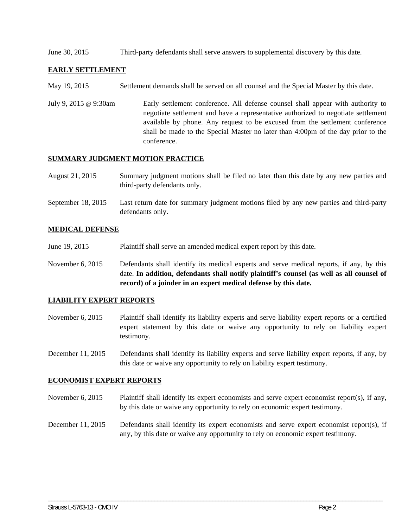June 30, 2015 Third-party defendants shall serve answers to supplemental discovery by this date.

#### **EARLY SETTLEMENT**

- May 19, 2015 Settlement demands shall be served on all counsel and the Special Master by this date.
- July 9, 2015 @ 9:30am Early settlement conference. All defense counsel shall appear with authority to negotiate settlement and have a representative authorized to negotiate settlement available by phone. Any request to be excused from the settlement conference shall be made to the Special Master no later than 4:00pm of the day prior to the conference.

#### **SUMMARY JUDGMENT MOTION PRACTICE**

- August 21, 2015 Summary judgment motions shall be filed no later than this date by any new parties and third-party defendants only.
- September 18, 2015 Last return date for summary judgment motions filed by any new parties and third-party defendants only.

#### **MEDICAL DEFENSE**

- June 19, 2015 Plaintiff shall serve an amended medical expert report by this date.
- November 6, 2015 Defendants shall identify its medical experts and serve medical reports, if any, by this date. **In addition, defendants shall notify plaintiff's counsel (as well as all counsel of record) of a joinder in an expert medical defense by this date.**

#### **LIABILITY EXPERT REPORTS**

- November 6, 2015 Plaintiff shall identify its liability experts and serve liability expert reports or a certified expert statement by this date or waive any opportunity to rely on liability expert testimony.
- December 11, 2015 Defendants shall identify its liability experts and serve liability expert reports, if any, by this date or waive any opportunity to rely on liability expert testimony.

#### **ECONOMIST EXPERT REPORTS**

- November 6, 2015 Plaintiff shall identify its expert economists and serve expert economist report(s), if any, by this date or waive any opportunity to rely on economic expert testimony.
- December 11, 2015 Defendants shall identify its expert economists and serve expert economist report(s), if any, by this date or waive any opportunity to rely on economic expert testimony.

\_\_\_\_\_\_\_\_\_\_\_\_\_\_\_\_\_\_\_\_\_\_\_\_\_\_\_\_\_\_\_\_\_\_\_\_\_\_\_\_\_\_\_\_\_\_\_\_\_\_\_\_\_\_\_\_\_\_\_\_\_\_\_\_\_\_\_\_\_\_\_\_\_\_\_\_\_\_\_\_\_\_\_\_\_\_\_\_\_\_\_\_\_\_\_\_\_\_\_\_\_\_\_\_\_\_\_\_\_\_